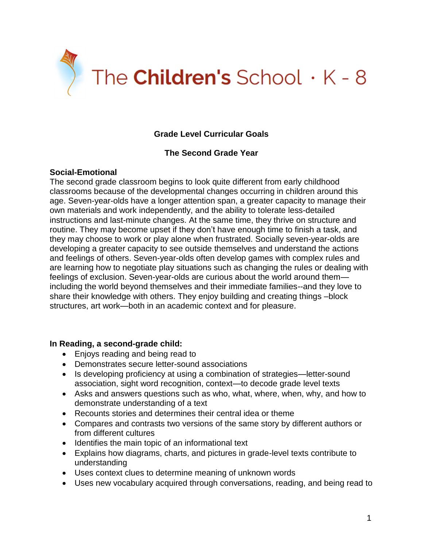

# **Grade Level Curricular Goals**

## **The Second Grade Year**

## **Social-Emotional**

The second grade classroom begins to look quite different from early childhood classrooms because of the developmental changes occurring in children around this age. Seven-year-olds have a longer attention span, a greater capacity to manage their own materials and work independently, and the ability to tolerate less-detailed instructions and last-minute changes. At the same time, they thrive on structure and routine. They may become upset if they don't have enough time to finish a task, and they may choose to work or play alone when frustrated. Socially seven-year-olds are developing a greater capacity to see outside themselves and understand the actions and feelings of others. Seven-year-olds often develop games with complex rules and are learning how to negotiate play situations such as changing the rules or dealing with feelings of exclusion. Seven-year-olds are curious about the world around them including the world beyond themselves and their immediate families--and they love to share their knowledge with others. They enjoy building and creating things –block structures, art work—both in an academic context and for pleasure.

#### **In Reading, a second-grade child:**

- Enjoys reading and being read to
- Demonstrates secure letter-sound associations
- Is developing proficiency at using a combination of strategies—letter-sound association, sight word recognition, context—to decode grade level texts
- Asks and answers questions such as who, what, where, when, why, and how to demonstrate understanding of a text
- Recounts stories and determines their central idea or theme
- Compares and contrasts two versions of the same story by different authors or from different cultures
- Identifies the main topic of an informational text
- Explains how diagrams, charts, and pictures in grade-level texts contribute to understanding
- Uses context clues to determine meaning of unknown words
- Uses new vocabulary acquired through conversations, reading, and being read to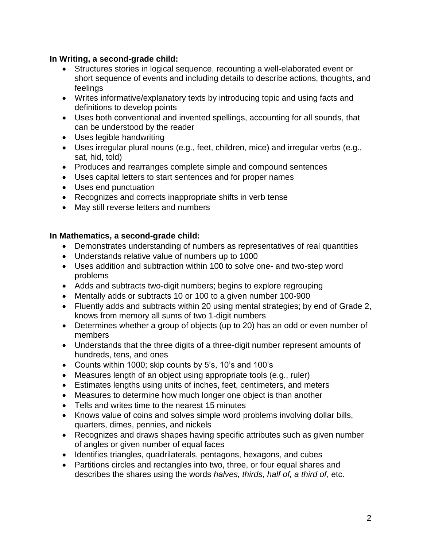## **In Writing, a second-grade child:**

- Structures stories in logical sequence, recounting a well-elaborated event or short sequence of events and including details to describe actions, thoughts, and feelings
- Writes informative/explanatory texts by introducing topic and using facts and definitions to develop points
- Uses both conventional and invented spellings, accounting for all sounds, that can be understood by the reader
- Uses legible handwriting
- Uses irregular plural nouns (e.g., feet, children, mice) and irregular verbs (e.g., sat, hid, told)
- Produces and rearranges complete simple and compound sentences
- Uses capital letters to start sentences and for proper names
- Uses end punctuation
- Recognizes and corrects inappropriate shifts in verb tense
- May still reverse letters and numbers

## **In Mathematics, a second-grade child:**

- Demonstrates understanding of numbers as representatives of real quantities
- Understands relative value of numbers up to 1000
- Uses addition and subtraction within 100 to solve one- and two-step word problems
- Adds and subtracts two-digit numbers; begins to explore regrouping
- Mentally adds or subtracts 10 or 100 to a given number 100-900
- Fluently adds and subtracts within 20 using mental strategies; by end of Grade 2, knows from memory all sums of two 1-digit numbers
- Determines whether a group of objects (up to 20) has an odd or even number of members
- Understands that the three digits of a three-digit number represent amounts of hundreds, tens, and ones
- Counts within 1000; skip counts by 5's, 10's and 100's
- Measures length of an object using appropriate tools (e.g., ruler)
- Estimates lengths using units of inches, feet, centimeters, and meters
- Measures to determine how much longer one object is than another
- Tells and writes time to the nearest 15 minutes
- Knows value of coins and solves simple word problems involving dollar bills, quarters, dimes, pennies, and nickels
- Recognizes and draws shapes having specific attributes such as given number of angles or given number of equal faces
- Identifies triangles, quadrilaterals, pentagons, hexagons, and cubes
- Partitions circles and rectangles into two, three, or four equal shares and describes the shares using the words *halves, thirds, half of, a third of*, etc.